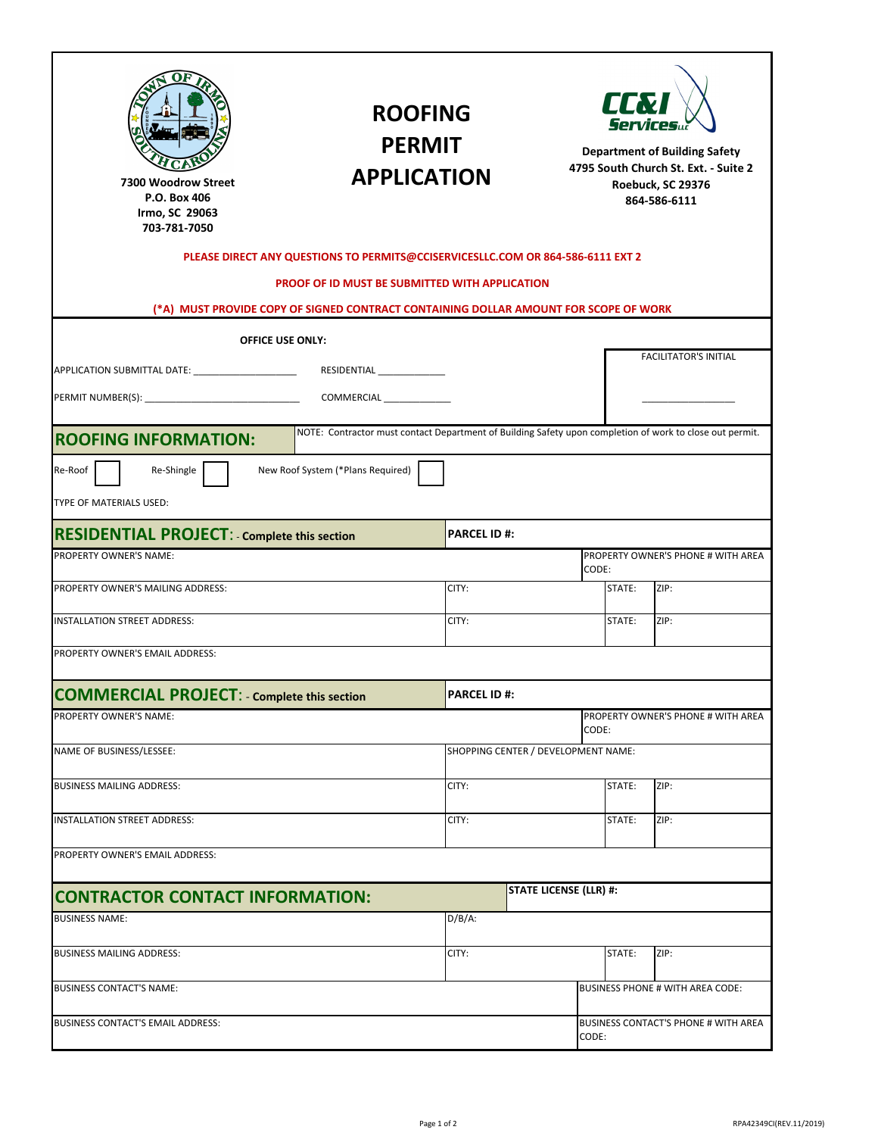| tóyốE<br>tbou≸∪õ<br>ðð                                                               | <b>ROOFING</b><br><b>PERMIT</b><br><b>APPLICATION</b>                                                    |                    |                                               | LLXI<br><b>Service</b><br><b>Department of Building Safety</b><br>4795 South Church St. Ext. - Suite 2<br>Roebuck, SC 29376<br>864-586-6111 |                                    |  |
|--------------------------------------------------------------------------------------|----------------------------------------------------------------------------------------------------------|--------------------|-----------------------------------------------|---------------------------------------------------------------------------------------------------------------------------------------------|------------------------------------|--|
|                                                                                      | PLEASE DIRECT ANY QUESTIONS TO PERMITS@CCISERVICESLLC.COM OR 864-586-6111 EXT 2                          |                    |                                               |                                                                                                                                             |                                    |  |
| (*A) MUST PROVIDE COPY OF SIGNED CONTRACT CONTAINING DOLLAR AMOUNT FOR SCOPE OF WORK | PROOF OF ID MUST BE SUBMITTED WITH APPLICATION                                                           |                    |                                               |                                                                                                                                             |                                    |  |
| <b>OFFICE USE ONLY:</b>                                                              |                                                                                                          |                    |                                               |                                                                                                                                             |                                    |  |
| RESIDENTIAL _______________                                                          |                                                                                                          |                    |                                               | <b>FACILITATOR'S INITIAL</b>                                                                                                                |                                    |  |
|                                                                                      |                                                                                                          |                    |                                               |                                                                                                                                             |                                    |  |
|                                                                                      | NOTE: Contractor must contact Department of Building Safety upon completion of work to close out permit. |                    |                                               |                                                                                                                                             |                                    |  |
| <b>ROOFING INFORMATION:</b>                                                          |                                                                                                          |                    |                                               |                                                                                                                                             |                                    |  |
| Re-Roof<br>Re-Shingle                                                                | New Roof System (*Plans Required)                                                                        |                    |                                               |                                                                                                                                             |                                    |  |
| TYPE OF MATERIALS USED:                                                              |                                                                                                          |                    |                                               |                                                                                                                                             |                                    |  |
| <b>RESIDENTIAL PROJECT: - Complete this section</b>                                  |                                                                                                          | <b>PARCEL ID#:</b> |                                               |                                                                                                                                             |                                    |  |
| PROPERTY OWNER'S NAME:                                                               |                                                                                                          |                    |                                               | CODE:                                                                                                                                       | PROPERTY OWNER'S PHONE # WITH AREA |  |
| PROPERTY OWNER'S MAILING ADDRESS:                                                    |                                                                                                          | CITY:              |                                               | STATE:                                                                                                                                      | ZIP:                               |  |
| <b>INSTALLATION STREET ADDRESS:</b>                                                  |                                                                                                          | CITY:              |                                               | STATE:                                                                                                                                      | ZIP:                               |  |
| PROPERTY OWNER'S EMAIL ADDRESS:                                                      |                                                                                                          |                    |                                               |                                                                                                                                             |                                    |  |
| <b>COMMERCIAL PROJECT: - Complete this section</b>                                   |                                                                                                          | <b>PARCEL ID#:</b> |                                               |                                                                                                                                             |                                    |  |
| PROPERTY OWNER'S NAME:                                                               |                                                                                                          |                    |                                               | CODE:                                                                                                                                       | PROPERTY OWNER'S PHONE # WITH AREA |  |
| NAME OF BUSINESS/LESSEE:                                                             |                                                                                                          |                    | SHOPPING CENTER / DEVELOPMENT NAME:           |                                                                                                                                             |                                    |  |
| <b>BUSINESS MAILING ADDRESS:</b>                                                     |                                                                                                          | CITY:              |                                               | STATE:                                                                                                                                      | ZIP:                               |  |
| INSTALLATION STREET ADDRESS:                                                         |                                                                                                          | CITY:              |                                               |                                                                                                                                             | ZIP:                               |  |
| PROPERTY OWNER'S EMAIL ADDRESS:                                                      |                                                                                                          |                    |                                               |                                                                                                                                             |                                    |  |
|                                                                                      |                                                                                                          |                    |                                               |                                                                                                                                             |                                    |  |
| <b>CONTRACTOR CONTACT INFORMATION:</b>                                               |                                                                                                          |                    | <b>STATE LICENSE (LLR) #:</b>                 |                                                                                                                                             |                                    |  |
| <b>BUSINESS NAME:</b>                                                                |                                                                                                          | $D/B/A$ :          |                                               |                                                                                                                                             |                                    |  |
| <b>BUSINESS MAILING ADDRESS:</b>                                                     |                                                                                                          | CITY:              |                                               | STATE:                                                                                                                                      | ZIP:                               |  |
| <b>BUSINESS CONTACT'S NAME:</b>                                                      |                                                                                                          |                    |                                               |                                                                                                                                             | BUSINESS PHONE # WITH AREA CODE:   |  |
| BUSINESS CONTACT'S EMAIL ADDRESS:                                                    |                                                                                                          |                    | BUSINESS CONTACT'S PHONE # WITH AREA<br>CODE: |                                                                                                                                             |                                    |  |